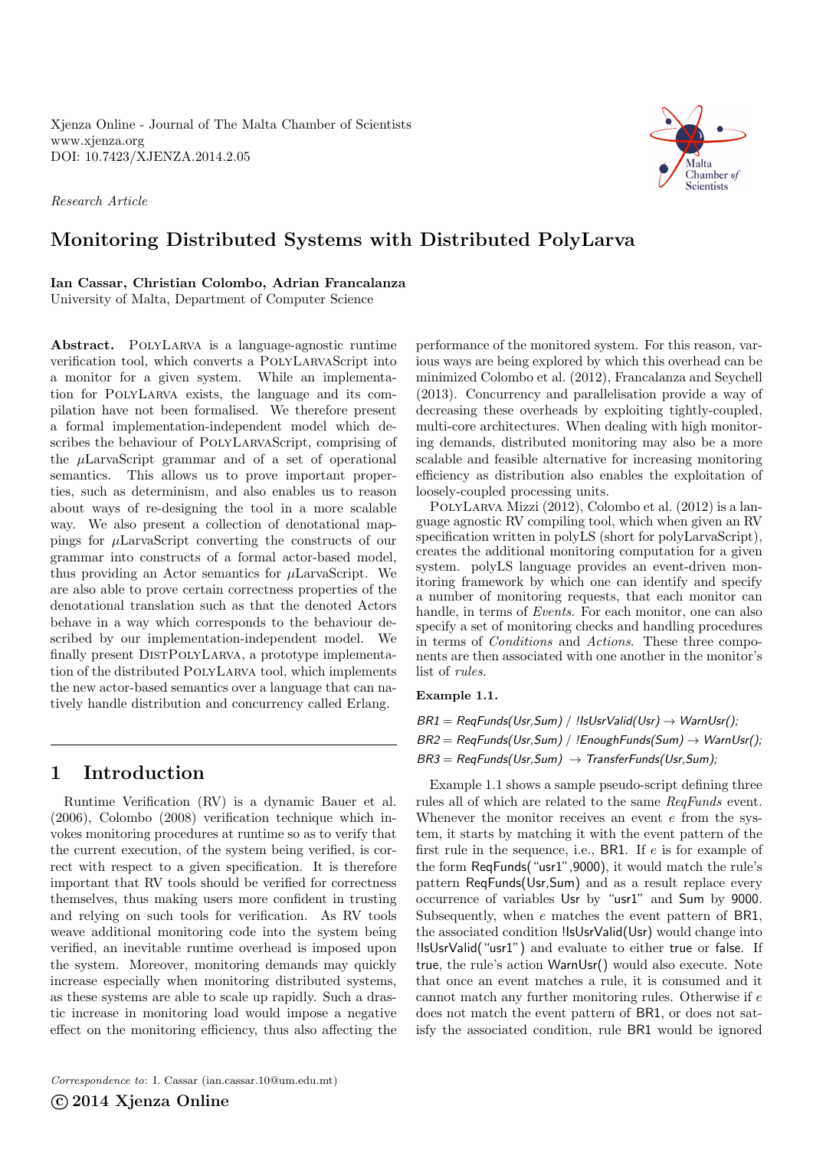<span id="page-0-0"></span>Xjenza Online - Journal of The Malta Chamber of Scientists <www.xjenza.org> DOI:<10.7423/XJENZA.2014.2.05>

Research Article



# Monitoring Distributed Systems with Distributed PolyLarva

Ian Cassar, Christian Colombo, Adrian Francalanza University of Malta, Department of Computer Science

Abstract. PolyLarva is a language-agnostic runtime verification tool, which converts a PolyLarvaScript into a monitor for a given system. While an implementation for PolyLarva exists, the language and its compilation have not been formalised. We therefore present a formal implementation-independent model which describes the behaviour of PolyLarvaScript, comprising of the µLarvaScript grammar and of a set of operational semantics. This allows us to prove important properties, such as determinism, and also enables us to reason about ways of re-designing the tool in a more scalable way. We also present a collection of denotational mappings for  $\mu$ LarvaScript converting the constructs of our grammar into constructs of a formal actor-based model, thus providing an Actor semantics for  $\mu$ LarvaScript. We are also able to prove certain correctness properties of the denotational translation such as that the denoted Actors behave in a way which corresponds to the behaviour described by our implementation-independent model. We finally present DISTPOLYLARVA, a prototype implementation of the distributed PolyLarva tool, which implements the new actor-based semantics over a language that can natively handle distribution and concurrency called Erlang.

# 1 Introduction

Runtime Verification (RV) is a dynamic Bauer et al. [\(2006\)](#page-7-0), Colombo [\(2008\)](#page-7-1) verification technique which invokes monitoring procedures at runtime so as to verify that the current execution, of the system being verified, is correct with respect to a given specification. It is therefore important that RV tools should be verified for correctness themselves, thus making users more confident in trusting and relying on such tools for verification. As RV tools weave additional monitoring code into the system being verified, an inevitable runtime overhead is imposed upon the system. Moreover, monitoring demands may quickly increase especially when monitoring distributed systems, as these systems are able to scale up rapidly. Such a drastic increase in monitoring load would impose a negative effect on the monitoring efficiency, thus also affecting the

Correspondence to: I. Cassar [\(ian.cassar.10@um.edu.mt\)](mailto:ian.cassar.10@um.edu.mt)

C 2014 Xjenza Online

performance of the monitored system. For this reason, various ways are being explored by which this overhead can be minimized Colombo et al. [\(2012\)](#page-7-2), Francalanza and Seychell [\(2013\)](#page-8-0). Concurrency and parallelisation provide a way of decreasing these overheads by exploiting tightly-coupled, multi-core architectures. When dealing with high monitoring demands, distributed monitoring may also be a more scalable and feasible alternative for increasing monitoring efficiency as distribution also enables the exploitation of loosely-coupled processing units.

PolyLarva Mizzi [\(2012\)](#page-8-1), Colombo et al. [\(2012\)](#page-7-2) is a language agnostic RV compiling tool, which when given an RV specification written in polyLS (short for polyLarvaScript), creates the additional monitoring computation for a given system. polyLS language provides an event-driven monitoring framework by which one can identify and specify a number of monitoring requests, that each monitor can handle, in terms of *Events*. For each monitor, one can also specify a set of monitoring checks and handling procedures in terms of Conditions and Actions. These three components are then associated with one another in the monitor's list of rules.

### Example 1.1.

 $BR1 = RegFunds(Usr, Sum) / !lsUsrValid(Usr) \rightarrow WarnUsr();$  $BR2 = RegFunds(Usr, Sum) / !EnoughFunds(Sum) \rightarrow WarnUsr();$  $BR3 = RegFunds(Usr, Sum) \rightarrow TransferFunds(Usr, Sum);$ 

Example 1.1 shows a sample pseudo-script defining three rules all of which are related to the same ReqFunds event. Whenever the monitor receives an event  $e$  from the system, it starts by matching it with the event pattern of the first rule in the sequence, i.e., BR1. If  $e$  is for example of the form ReqFunds("usr1",9000), it would match the rule's pattern ReqFunds(Usr,Sum) and as a result replace every occurrence of variables Usr by "usr1" and Sum by 9000. Subsequently, when e matches the event pattern of BR1, the associated condition !IsUsrValid(Usr) would change into !IsUsrValid("usr1") and evaluate to either true or false. If true, the rule's action WarnUsr() would also execute. Note that once an event matches a rule, it is consumed and it cannot match any further monitoring rules. Otherwise if e does not match the event pattern of BR1, or does not satisfy the associated condition, rule BR1 would be ignored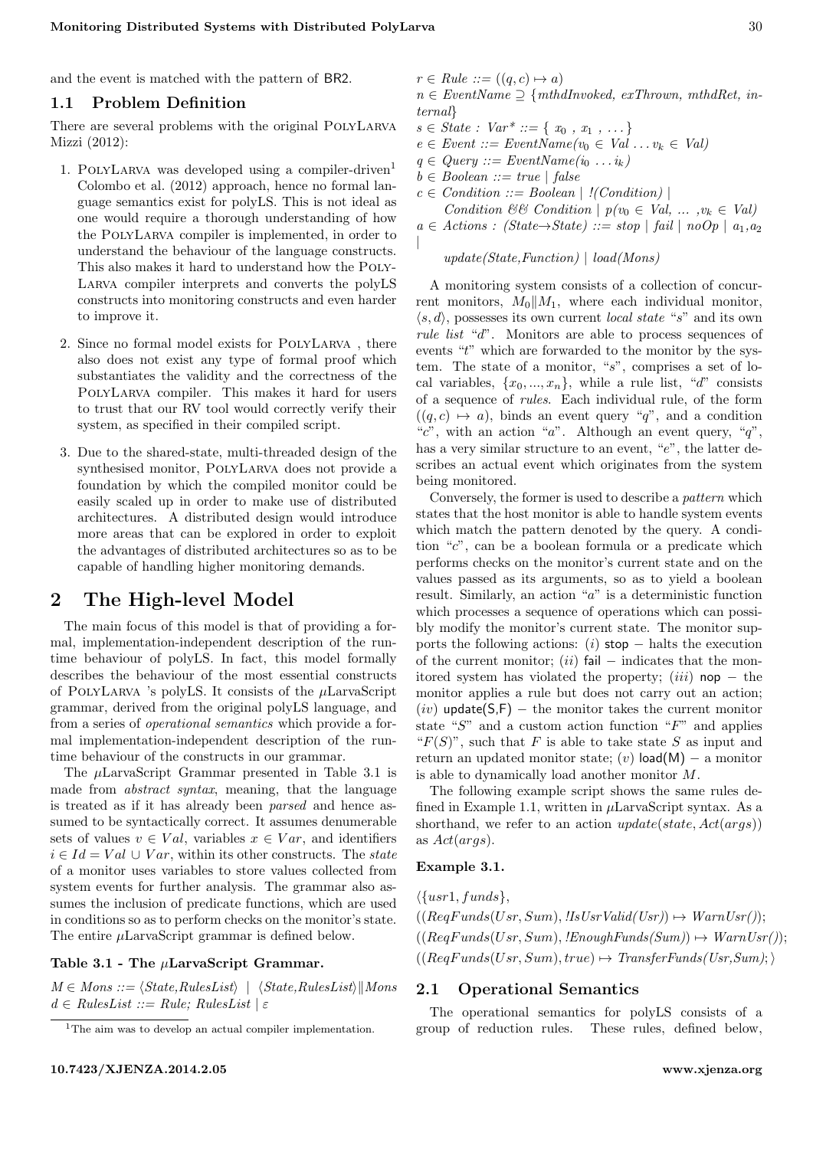and the event is matched with the pattern of BR2.

### 1.1 Problem Definition

There are several problems with the original PolyLarva Mizzi [\(2012\)](#page-8-1):

- [1](#page-0-0). POLYLARVA was developed using a compiler-driven<sup>1</sup> Colombo et al. [\(2012\)](#page-7-2) approach, hence no formal language semantics exist for polyLS. This is not ideal as one would require a thorough understanding of how the PolyLarva compiler is implemented, in order to understand the behaviour of the language constructs. This also makes it hard to understand how the Poly-Larva compiler interprets and converts the polyLS constructs into monitoring constructs and even harder to improve it.
- 2. Since no formal model exists for PolyLarva , there also does not exist any type of formal proof which substantiates the validity and the correctness of the PolyLarva compiler. This makes it hard for users to trust that our RV tool would correctly verify their system, as specified in their compiled script.
- 3. Due to the shared-state, multi-threaded design of the synthesised monitor, PolyLarva does not provide a foundation by which the compiled monitor could be easily scaled up in order to make use of distributed architectures. A distributed design would introduce more areas that can be explored in order to exploit the advantages of distributed architectures so as to be capable of handling higher monitoring demands.

# 2 The High-level Model

The main focus of this model is that of providing a formal, implementation-independent description of the runtime behaviour of polyLS. In fact, this model formally describes the behaviour of the most essential constructs of POLYLARVA 's polyLS. It consists of the  $\mu$ LarvaScript grammar, derived from the original polyLS language, and from a series of operational semantics which provide a formal implementation-independent description of the runtime behaviour of the constructs in our grammar.

The  $\mu$ LarvaScript Grammar presented in Table 3.1 is made from abstract syntax, meaning, that the language is treated as if it has already been parsed and hence assumed to be syntactically correct. It assumes denumerable sets of values  $v \in Val$ , variables  $x \in Var$ , and identifiers  $i \in Id = Val \cup Var$ , within its other constructs. The state of a monitor uses variables to store values collected from system events for further analysis. The grammar also assumes the inclusion of predicate functions, which are used in conditions so as to perform checks on the monitor's state. The entire  $\mu$ LarvaScript grammar is defined below.

### Table 3.1 - The µLarvaScript Grammar.

 $M \in Mons ::= \langle State, RulesList \rangle \mid \langle State, RulesList \rangle || Mons$  $d \in RulesList ::= Rule; RulesList \mid \varepsilon$ 

 $r \in Rule ::= ((q, c) \mapsto a)$ 

- $n \in EventName \supset \{mthdInvoked, exThrown, mthdRet, in$ ternal}
- $s \in State : Var^* ::= \{x_0, x_1, \ldots\}$
- $e \in Event :: = EventName(v_0 \in Val ... v_k \in Val)$
- $q \in Query ::= EventName(i_0 ... i_k)$
- $b \in Boolean ::= true \mid false$

|

- $c \in Condition ::= Boolean \mid !(Condition) \mid$
- Condition && Condition  $| p(v_0 \in Val, ..., v_k \in Val)$  $a \in Actions : (State \rightarrow State) ::= stop | fail | noOp | a<sub>1</sub>, a<sub>2</sub>$

#### $update(State, Function) | load(Mons)$

A monitoring system consists of a collection of concurrent monitors,  $M_0||M_1$ , where each individual monitor,  $\langle s, d \rangle$ , possesses its own current *local state* "s" and its own rule list "d". Monitors are able to process sequences of events "t" which are forwarded to the monitor by the system. The state of a monitor, "s", comprises a set of local variables,  $\{x_0, ..., x_n\}$ , while a rule list, "d" consists of a sequence of rules. Each individual rule, of the form  $((q, c) \mapsto a)$ , binds an event query "q", and a condition "c", with an action "a". Although an event query, "q", has a very similar structure to an event, "e", the latter describes an actual event which originates from the system being monitored.

Conversely, the former is used to describe a pattern which states that the host monitor is able to handle system events which match the pattern denoted by the query. A condition " $c$ ", can be a boolean formula or a predicate which performs checks on the monitor's current state and on the values passed as its arguments, so as to yield a boolean result. Similarly, an action "a" is a deterministic function which processes a sequence of operations which can possibly modify the monitor's current state. The monitor supports the following actions:  $(i)$  stop − halts the execution of the current monitor;  $(ii)$  fail – indicates that the monitored system has violated the property;  $(iii)$  nop – the monitor applies a rule but does not carry out an action;  $(iv)$  update(S,F) – the monitor takes the current monitor state " $S$ " and a custom action function " $F$ " and applies " $F(S)$ ", such that F is able to take state S as input and return an updated monitor state;  $(v)$  load $(M)$  – a monitor is able to dynamically load another monitor M.

The following example script shows the same rules defined in Example 1.1, written in  $\mu$ LarvaScript syntax. As a shorthand, we refer to an action  $update(state, Act(args))$ as Act(args).

### Example 3.1.

 $\{\{usr1, funds\},\}$  $((RegFunds(Usr, Sum), lIsUsrValid(Usr)) \mapsto WarmUsr(l));$  $((RegFunds(Usr, Sum), !EnoughFunds(Sum)) \rightarrow WarnUsr());$  $((\text{RegFunds}(Usr, Sum), true) \rightarrow \text{TransferFunds}(Usr, Sum);$ 

### 2.1 Operational Semantics

The operational semantics for polyLS consists of a group of reduction rules. These rules, defined below,

<sup>&</sup>lt;sup>1</sup>The aim was to develop an actual compiler implementation.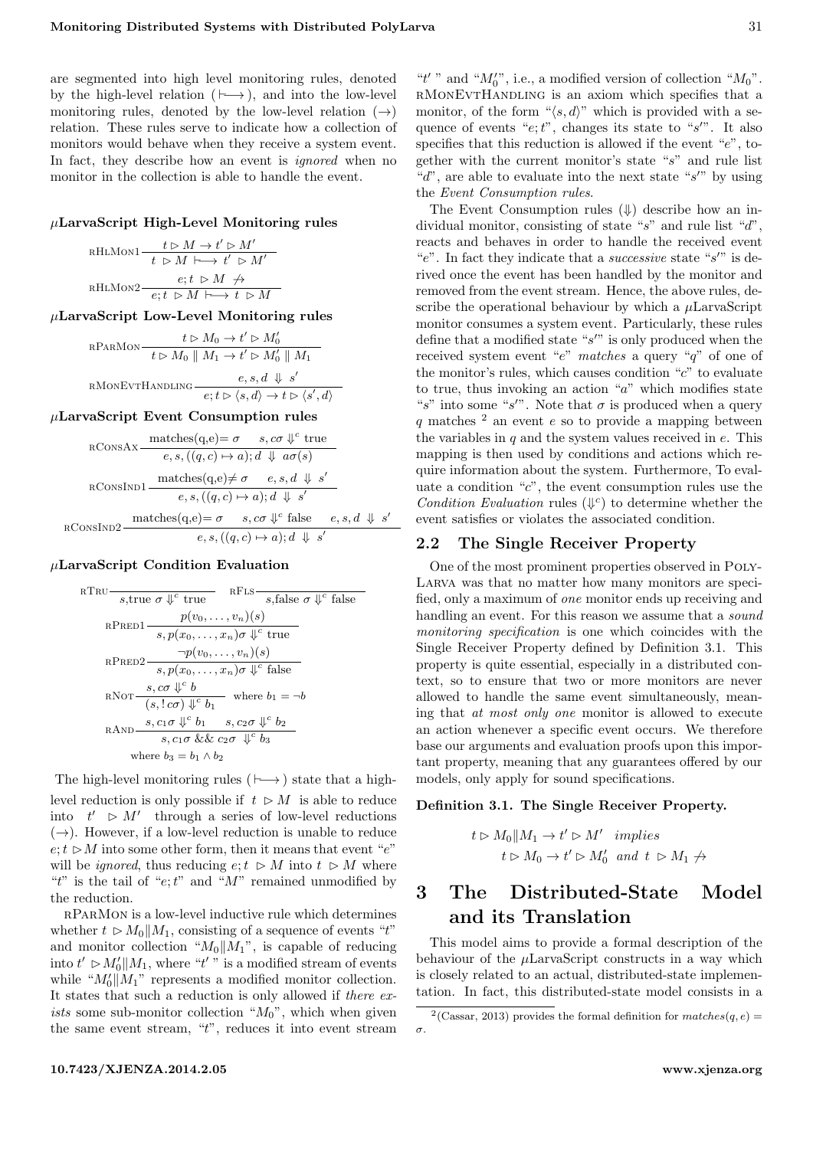are segmented into high level monitoring rules, denoted by the high-level relation ( $\mapsto$ ), and into the low-level monitoring rules, denoted by the low-level relation  $(\rightarrow)$ relation. These rules serve to indicate how a collection of monitors would behave when they receive a system event. In fact, they describe how an event is *ignored* when no monitor in the collection is able to handle the event.

### $\mu$ LarvaScript High-Level Monitoring rules

$$
\text{RHLMon1} \quad \begin{array}{c}\n t \rhd M \rightarrow t' \rhd M' \\
 t \rhd M \vdash \rightarrow t' \rhd M' \\
 \text{RHLMon2} \quad e; t \rhd M \nrightarrow \n \end{array}
$$
\n
$$
\text{RHLMon2} \quad \begin{array}{c}\n e; t \rhd M \nrightarrow \n \end{array}
$$

 $\mu$ LarvaScript Low-Level Monitoring rules

$$
t \rhd M_0 \to t' \rhd M'_0
$$
  
\n
$$
t \rhd M_0 \parallel M_1 \to t' \rhd M'_0 \parallel M_1
$$
  
\n
$$
e, s, d \Downarrow s'
$$
  
\n
$$
e, t \rhd \langle s, d \rangle \to t \rhd \langle s', d \rangle
$$

 $\mu$ LarvaScript Event Consumption rules

$$
\text{RConsAx}\frac{\text{matches}(q,e) = \sigma \quad s, c\sigma \Downarrow^c \text{true}}{e, s, ((q, c) \mapsto a); d \Downarrow a\sigma(s)}
$$
\n
$$
\text{RConsInD1}\frac{\text{matches}(q,e) \neq \sigma \quad e, s, d \Downarrow s'}{e, s, ((q, c) \mapsto a); d \Downarrow s'}
$$
\n
$$
\text{RConsInD2}\frac{\text{matches}(q,e) = \sigma \quad s, c\sigma \Downarrow^c \text{false} \quad e, s, d \Downarrow s'}{e, s, ((q, c) \mapsto a); d \Downarrow s'}
$$

#### $\mu$ LarvaScript Condition Evaluation

RTRU 
$$
\frac{p(v_0, \ldots, v_n)(s)}{s, p(x_0, \ldots, x_n) \sigma \Downarrow^c \text{false}}
$$
\nRPRED1 
$$
\frac{p(v_0, \ldots, v_n)(s)}{s, p(x_0, \ldots, x_n) \sigma \Downarrow^c \text{true}}
$$
\nRPRED2 
$$
\frac{\neg p(v_0, \ldots, v_n)(s)}{s, p(x_0, \ldots, x_n) \sigma \Downarrow^c \text{false}}
$$
\nRNOT 
$$
\frac{s, c\sigma \Downarrow^c b}{(s, !c\sigma) \Downarrow^c b_1} \text{ where } b_1 = \neg b
$$
\nRAND 
$$
\frac{s, c_1\sigma \Downarrow^c b_1}{s, c_1\sigma \&& c_2\sigma \Downarrow^c b_2}
$$
\nwhere  $b_3 = b_1 \wedge b_2$ 

The high-level monitoring rules ( $\mapsto$ ) state that a highlevel reduction is only possible if  $t \geq M$  is able to reduce into  $t' \geq M'$  through a series of low-level reductions  $(\rightarrow)$ . However, if a low-level reduction is unable to reduce  $e: t \geq M$  into some other form, then it means that event "e" will be *ignored*, thus reducing  $e, t \geq M$  into  $t \geq M$  where "t" is the tail of "e; t" and "M" remained unmodified by the reduction.

rParMon is a low-level inductive rule which determines whether  $t \geq M_0||M_1$ , consisting of a sequence of events "t" and monitor collection " $M_0||M_1"$ , is capable of reducing into  $t' \geq M_0' || M_1$ , where "t'" is a modified stream of events while " $M'_0||M_1$ " represents a modified monitor collection. It states that such a reduction is only allowed if there exists some sub-monitor collection " $M_0$ ", which when given the same event stream, "t", reduces it into event stream

"t'" and " $M_0''$ ", i.e., a modified version of collection " $M_0$ ". rMonEvtHandling is an axiom which specifies that a monitor, of the form " $\langle s, d \rangle$ " which is provided with a sequence of events " $e; t$ ", changes its state to " $s$ ". It also specifies that this reduction is allowed if the event " $e$ ", together with the current monitor's state "s" and rule list " $d$ ", are able to evaluate into the next state " $s$ " by using the Event Consumption rules.

The Event Consumption rules  $(\Downarrow)$  describe how an individual monitor, consisting of state "s" and rule list "d", reacts and behaves in order to handle the received event "e". In fact they indicate that a *successive* state " $s$ " is derived once the event has been handled by the monitor and removed from the event stream. Hence, the above rules, describe the operational behaviour by which a  $\mu$ LarvaScript monitor consumes a system event. Particularly, these rules define that a modified state " $s$ " is only produced when the received system event "e" matches a query "q" of one of the monitor's rules, which causes condition " $c$ " to evaluate to true, thus invoking an action " $a$ " which modifies state "s" into some "s'". Note that  $\sigma$  is produced when a query q matches  $^2$  $^2$  an event e so to provide a mapping between the variables in  $q$  and the system values received in  $e$ . This mapping is then used by conditions and actions which require information about the system. Furthermore, To evaluate a condition " $c$ ", the event consumption rules use the Condition Evaluation rules  $(\downarrow^c)$  to determine whether the event satisfies or violates the associated condition.

### 2.2 The Single Receiver Property

One of the most prominent properties observed in Poly-Larva was that no matter how many monitors are specified, only a maximum of one monitor ends up receiving and handling an event. For this reason we assume that a *sound* monitoring specification is one which coincides with the Single Receiver Property defined by Definition 3.1. This property is quite essential, especially in a distributed context, so to ensure that two or more monitors are never allowed to handle the same event simultaneously, meaning that at most only one monitor is allowed to execute an action whenever a specific event occurs. We therefore base our arguments and evaluation proofs upon this important property, meaning that any guarantees offered by our models, only apply for sound specifications.

#### Definition 3.1. The Single Receiver Property.

$$
t \rhd M_0 \parallel M_1 \to t' \rhd M'
$$
 implies  
\n $t \rhd M_0 \to t' \rhd M'_0$  and  $t \rhd M_1 \nleftrightarrow$ 

# 3 The Distributed-State Model and its Translation

This model aims to provide a formal description of the behaviour of the  $\mu$ LarvaScript constructs in a way which is closely related to an actual, distributed-state implementation. In fact, this distributed-state model consists in a

<sup>&</sup>lt;sup>2</sup>(Cassar, [2013\)](#page-7-3) provides the formal definition for  $matches(q, e) =$ σ.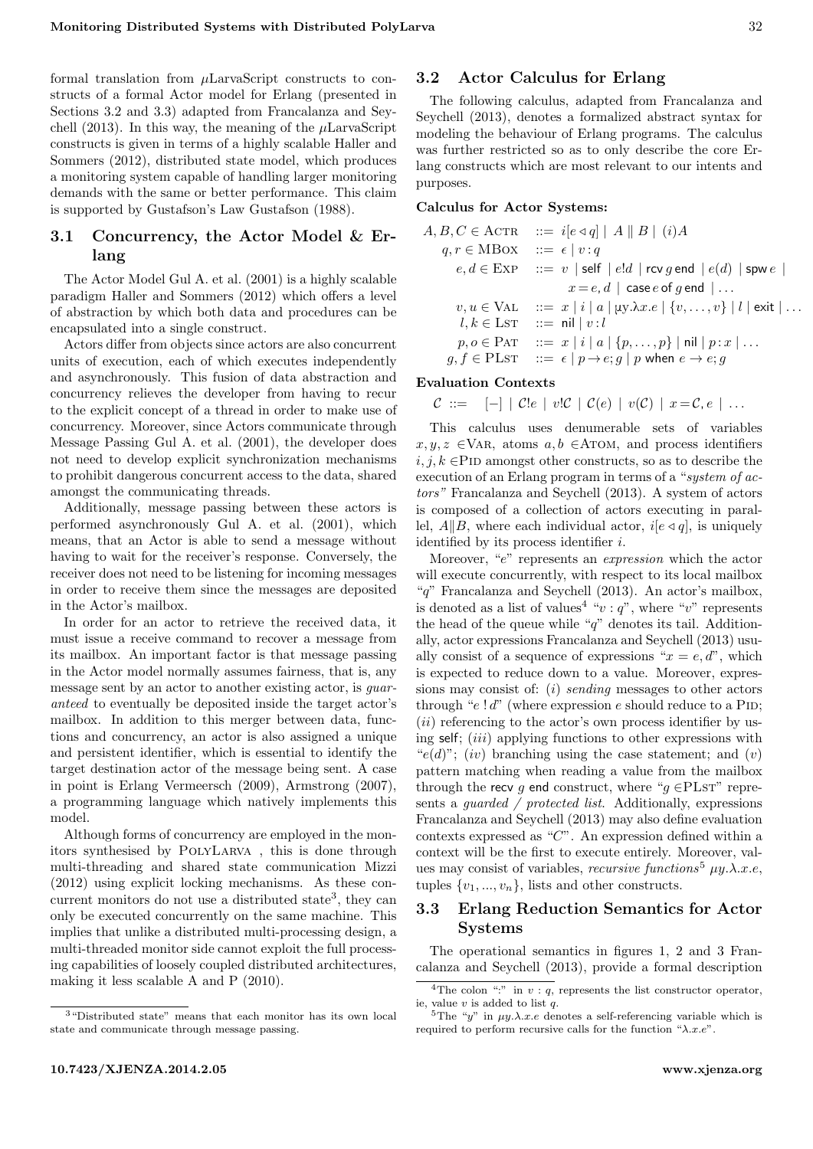formal translation from  $\mu$ LarvaScript constructs to constructs of a formal Actor model for Erlang (presented in Sections [3.2](#page-3-0) and [3.3\)](#page-3-1) adapted from Francalanza and Sey-chell [\(2013\)](#page-8-0). In this way, the meaning of the  $\mu$ LarvaScript constructs is given in terms of a highly scalable Haller and Sommers [\(2012\)](#page-8-2), distributed state model, which produces a monitoring system capable of handling larger monitoring demands with the same or better performance. This claim is supported by Gustafson's Law Gustafson [\(1988\)](#page-8-3).

# 3.1 Concurrency, the Actor Model & Erlang

The Actor Model Gul A. et al. [\(2001\)](#page-8-4) is a highly scalable paradigm Haller and Sommers [\(2012\)](#page-8-2) which offers a level of abstraction by which both data and procedures can be encapsulated into a single construct.

Actors differ from objects since actors are also concurrent units of execution, each of which executes independently and asynchronously. This fusion of data abstraction and concurrency relieves the developer from having to recur to the explicit concept of a thread in order to make use of concurrency. Moreover, since Actors communicate through Message Passing Gul A. et al. [\(2001\)](#page-8-4), the developer does not need to develop explicit synchronization mechanisms to prohibit dangerous concurrent access to the data, shared amongst the communicating threads.

Additionally, message passing between these actors is performed asynchronously Gul A. et al. [\(2001\)](#page-8-4), which means, that an Actor is able to send a message without having to wait for the receiver's response. Conversely, the receiver does not need to be listening for incoming messages in order to receive them since the messages are deposited in the Actor's mailbox.

In order for an actor to retrieve the received data, it must issue a receive command to recover a message from its mailbox. An important factor is that message passing in the Actor model normally assumes fairness, that is, any message sent by an actor to another existing actor, is guaranteed to eventually be deposited inside the target actor's mailbox. In addition to this merger between data, functions and concurrency, an actor is also assigned a unique and persistent identifier, which is essential to identify the target destination actor of the message being sent. A case in point is Erlang Vermeersch [\(2009\)](#page-8-5), Armstrong [\(2007\)](#page-7-4), a programming language which natively implements this model.

Although forms of concurrency are employed in the monitors synthesised by PolyLarva , this is done through multi-threading and shared state communication Mizzi [\(2012\)](#page-8-1) using explicit locking mechanisms. As these con-current monitors do not use a distributed state<sup>[3](#page-0-0)</sup>, they can only be executed concurrently on the same machine. This implies that unlike a distributed multi-processing design, a multi-threaded monitor side cannot exploit the full processing capabilities of loosely coupled distributed architectures, making it less scalable A and P [\(2010\)](#page-7-5).

## 3.2 Actor Calculus for Erlang

The following calculus, adapted from Francalanza and Seychell [\(2013\)](#page-8-0), denotes a formalized abstract syntax for modeling the behaviour of Erlang programs. The calculus was further restricted so as to only describe the core Erlang constructs which are most relevant to our intents and purposes.

### Calculus for Actor Systems:

$$
A, B, C \in \text{ACTR} \quad ::= i[e \triangleleft q] | A \parallel B \mid (i)A
$$
\n
$$
q, r \in \text{MBox} \quad ::= \epsilon | v : q
$$
\n
$$
e, d \in \text{EXP} \quad ::= v | \text{ self} | e!d | \text{rcv } g \text{ end} | e(d) | \text{spw } e |
$$
\n
$$
x = e, d | \text{case } e \text{ of } g \text{ end} | \dots
$$
\n
$$
v, u \in \text{VAL} \quad ::= x | i | a | \text{uy.} \lambda x. e | \{v, \dots, v\} | l | \text{exit} | \dots
$$
\n
$$
l, k \in \text{LST} \quad ::= \text{nil} | v : l
$$
\n
$$
p, o \in \text{Part} \quad ::= x | i | a | \{p, \dots, p\} | \text{nil} | p : x | \dots
$$
\n
$$
g, f \in \text{PLST} \quad ::= \epsilon | p \rightarrow e; g | p \text{ when } e \rightarrow e; g
$$

#### Evaluation Contexts

$$
C \ ::= \ \ \begin{bmatrix} - \end{bmatrix} \mid C!e \mid v!C \mid C(e) \mid v(C) \mid x = C, e \mid \ldots
$$

This calculus uses denumerable sets of variables  $x, y, z \in \text{VAR}, \text{atoms } a, b \in \text{ATOM}, \text{and process identifiers}$  $i, j, k \in$ PID amongst other constructs, so as to describe the execution of an Erlang program in terms of a "system of actors" Francalanza and Seychell [\(2013\)](#page-8-0). A system of actors is composed of a collection of actors executing in parallel,  $A||B$ , where each individual actor,  $i[e \triangleleft q]$ , is uniquely identified by its process identifier i.

Moreover, "e" represents an expression which the actor will execute concurrently, with respect to its local mailbox "q" Francalanza and Seychell [\(2013\)](#page-8-0). An actor's mailbox, is denoted as a list of values<sup>[4](#page-0-0)</sup> " $v : q$ ", where "v" represents the head of the queue while " $q$ " denotes its tail. Additionally, actor expressions Francalanza and Seychell [\(2013\)](#page-8-0) usually consist of a sequence of expressions " $x = e, d$ ", which is expected to reduce down to a value. Moreover, expressions may consist of: (i) sending messages to other actors through " $e!d$ " (where expression e should reduce to a PID;  $(ii)$  referencing to the actor's own process identifier by using self; *(iii)* applying functions to other expressions with " $e(d)$ "; (iv) branching using the case statement; and (v) pattern matching when reading a value from the mailbox through the recv q end construct, where " $q \in$ PLsT" represents a guarded / protected list. Additionally, expressions Francalanza and Seychell [\(2013\)](#page-8-0) may also define evaluation contexts expressed as " $C$ ". An expression defined within a context will be the first to execute entirely. Moreover, values may consist of variables, *recursive functions*<sup>[5](#page-0-0)</sup>  $\mu y.\lambda.x.e,$ tuples  $\{v_1, ..., v_n\}$ , lists and other constructs.

## <span id="page-3-1"></span>3.3 Erlang Reduction Semantics for Actor Systems

The operational semantics in figures [1,](#page-4-0) [2](#page-4-1) and [3](#page-4-2) Francalanza and Seychell [\(2013\)](#page-8-0), provide a formal description

<span id="page-3-0"></span><sup>3</sup>"Distributed state" means that each monitor has its own local state and communicate through message passing.

<sup>&</sup>lt;sup>4</sup>The colon ":" in  $v : q$ , represents the list constructor operator, ie, value v is added to list q.

<sup>&</sup>lt;sup>5</sup>The "y" in  $\mu y.\lambda.x.e$  denotes a self-referencing variable which is required to perform recursive calls for the function " $\lambda.x.e$ ".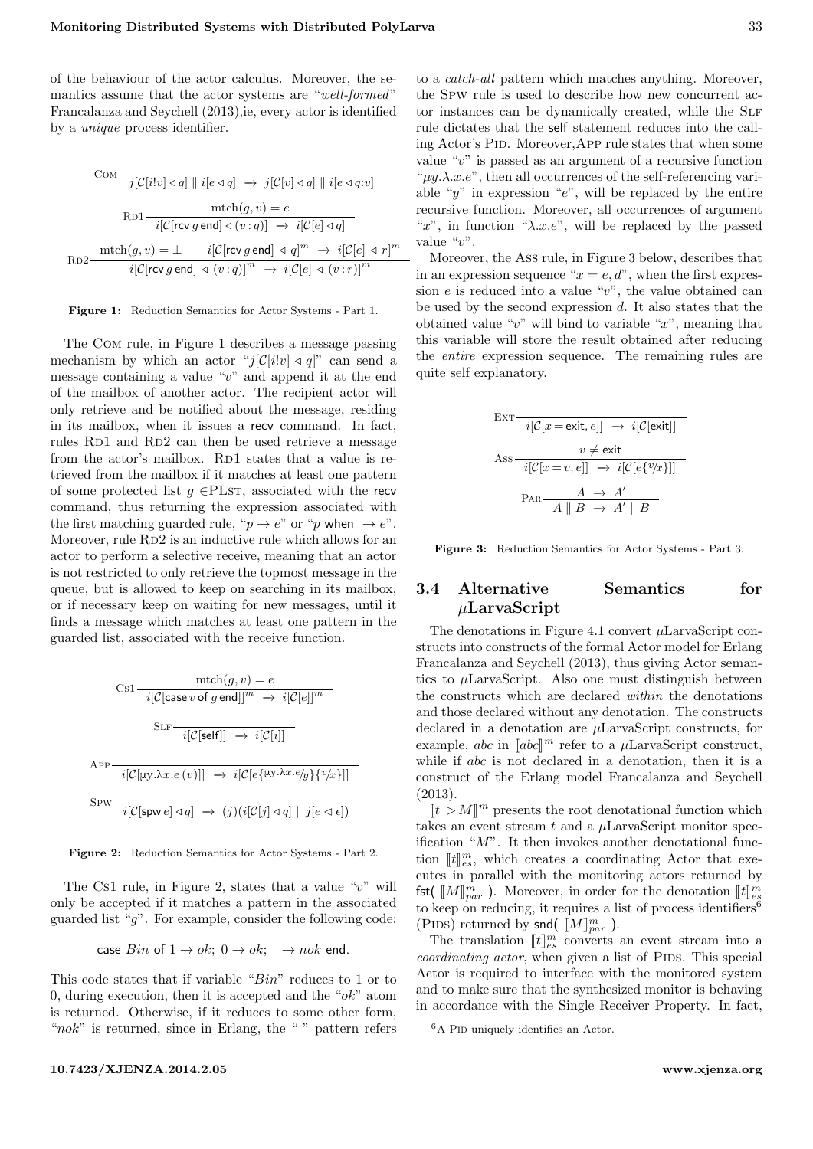of the behaviour of the actor calculus. Moreover, the semantics assume that the actor systems are "well-formed" Francalanza and Seychell [\(2013\)](#page-8-0),ie, every actor is identified by a unique process identifier.

<span id="page-4-0"></span>
$$
\text{Com-}\frac{j[\mathcal{C}[i!v] \triangleleft q] \parallel i[e \triangleleft q] \rightarrow j[\mathcal{C}[v] \triangleleft q] \parallel i[e \triangleleft q; v]}{\text{mth}(g, v) = e}
$$
\n
$$
\text{Rb1}\frac{\text{mth}(g, v) = e}{i[\mathcal{C}[\text{rcv} g \text{ end}] \triangleleft (v:q)] \rightarrow i[\mathcal{C}[e] \triangleleft q]}
$$
\n
$$
\text{Rb2}\frac{\text{mth}(g, v) = \perp \qquad i[\mathcal{C}[\text{rcv} g \text{ end}] \triangleleft q]^m \rightarrow i[\mathcal{C}[e] \triangleleft r]^m}{i[\mathcal{C}[\text{rcv} g \text{ end}] \triangleleft (v:q)]^m \rightarrow i[\mathcal{C}[e] \triangleleft (v:r)]^m}
$$

#### Figure 1: Reduction Semantics for Actor Systems - Part 1.

The Com rule, in Figure [1](#page-4-0) describes a message passing mechanism by which an actor " $j[\mathcal{C}[i!v] \triangleleft q]$ " can send a message containing a value " $v$ " and append it at the end of the mailbox of another actor. The recipient actor will only retrieve and be notified about the message, residing in its mailbox, when it issues a recv command. In fact, rules RD1 and RD2 can then be used retrieve a message from the actor's mailbox. RD1 states that a value is retrieved from the mailbox if it matches at least one pattern of some protected list  $g \in PLST$ , associated with the recv command, thus returning the expression associated with the first matching guarded rule, " $p \rightarrow e$ " or "p when  $\rightarrow e$ ". Moreover, rule RD2 is an inductive rule which allows for an actor to perform a selective receive, meaning that an actor is not restricted to only retrieve the topmost message in the queue, but is allowed to keep on searching in its mailbox, or if necessary keep on waiting for new messages, until it finds a message which matches at least one pattern in the guarded list, associated with the receive function.

<span id="page-4-1"></span>
$$
\operatorname{Cs1} \frac{\operatorname{mch}(g, v) = e}{i[c[\operatorname{case} v \text{ of } g \text{ end}]]^m \rightarrow i[c[e]]^m}
$$
\n
$$
\operatorname{SLF} \frac{\operatorname{GLF} \left[ c[\operatorname{self}]] \rightarrow i[c[i]] \right]}{i[c[\operatorname{up} \lambda x. e(v)]] \rightarrow i[c[e\{\mu y. \lambda x. e/y\} \{v/x\}]]}
$$
\n
$$
\operatorname{SPW} \frac{\operatorname{ic} \left[ c[\operatorname{spw} e] \triangleleft q \right] \rightarrow (j)(i[c[j] \triangleleft q] \parallel j[e \triangleleft \epsilon] \right)}{i[c[\operatorname{spw} e] \triangleleft q] \rightarrow (j)(i[c[j] \triangleleft q] \parallel j[e \triangleleft \epsilon] \right)}
$$

Figure 2: Reduction Semantics for Actor Systems - Part 2.

The Cs1 rule, in Figure [2,](#page-4-1) states that a value " $v$ " will only be accepted if it matches a pattern in the associated guarded list " $q$ ". For example, consider the following code:

case *Bin* of 
$$
1 \rightarrow ok
$$
;  $0 \rightarrow ok$ ;  $\rightarrow nok$  end.

This code states that if variable "Bin" reduces to 1 or to 0, during execution, then it is accepted and the " $ok$ " atom is returned. Otherwise, if it reduces to some other form, " $n \in \mathbb{R}^n$ " is returned, since in Erlang, the "<sup>"</sup>" pattern refers

to a catch-all pattern which matches anything. Moreover, the Spw rule is used to describe how new concurrent actor instances can be dynamically created, while the SLF rule dictates that the self statement reduces into the calling Actor's Pid. Moreover,App rule states that when some value " $v$ " is passed as an argument of a recursive function " $\mu y.\lambda.x.e$ ", then all occurrences of the self-referencing variable " $y$ " in expression " $e$ ", will be replaced by the entire recursive function. Moreover, all occurrences of argument "x", in function " $\lambda$ .x.e", will be replaced by the passed value "v".

Moreover, the Ass rule, in Figure [3](#page-4-2) below, describes that in an expression sequence " $x = e, d$ ", when the first expression  $e$  is reduced into a value " $v$ ", the value obtained can be used by the second expression d. It also states that the obtained value "v" will bind to variable "x", meaning that this variable will store the result obtained after reducing the entire expression sequence. The remaining rules are quite self explanatory.

<span id="page-4-2"></span>
$$
\text{EXT}\begin{array}{c}\n\overline{i[\mathcal{C}[x=\text{exit},e]]}\rightarrow i[\mathcal{C}[\text{exit}]]} \\
\text{Ass}\begin{array}{c}\n v \neq \text{exit} \\
 i[\mathcal{C}[x=v,e]]\rightarrow i[\mathcal{C}[e\{v/x\}]]]\n\end{array} \\
\text{Par}\begin{array}{c}\n A \rightarrow A' \\
 \overline{A \parallel B} \rightarrow A' \parallel B\n\end{array}
$$

Figure 3: Reduction Semantics for Actor Systems - Part 3.

# 3.4 Alternative Semantics for  $\mu$ LarvaScript

The denotations in Figure 4.1 convert  $\mu$ LarvaScript constructs into constructs of the formal Actor model for Erlang Francalanza and Seychell [\(2013\)](#page-8-0), thus giving Actor semantics to  $\mu$ LarvaScript. Also one must distinguish between the constructs which are declared within the denotations and those declared without any denotation. The constructs declared in a denotation are µLarvaScript constructs, for example, abc in  $[abc]^m$  refer to a  $\mu$ LarvaScript construct,<br>while if abc is not declared in a depotation, then it is a while if abc is not declared in a denotation, then it is a construct of the Erlang model Francalanza and Seychell [\(2013\)](#page-8-0).

 $[[t \triangleright M]]^m$  presents the root denotational function which<br>less an event stream t and a  $\mu$  arregarint menitor spec takes an event stream t and a  $\mu$ LarvaScript monitor specification " $M$ ". It then invokes another denotational function  $[[t]]_{es}^{m}$ , which creates a coordinating Actor that exe-<br>gutes in parallel with the monitoring actors returned by cutes in parallel with the monitoring actors returned by fst( $[M]_{par}^m$ ). Moreover, in order for the denotation  $[[t]]_{par}^m$ <br>to keep on reducing it requires a list of precess identifiers to keep on reducing, it requires a list of process identifiers<sup>[6](#page-0-0)</sup> (PIDS) returned by snd(  $\llbracket M \rrbracket_{par}^m$ ).<br>The translation  $\llbracket \cdot \llbracket H \rrbracket_{amp}^m$  converts

The translation  $[[t]]_{cs}^{m}$  converts an event stream into a<br>expliciting actor when given a list of PIDS. This special coordinating actor, when given a list of PIDS. This special Actor is required to interface with the monitored system and to make sure that the synthesized monitor is behaving in accordance with the Single Receiver Property. In fact,

 $6A$  PID uniquely identifies an Actor.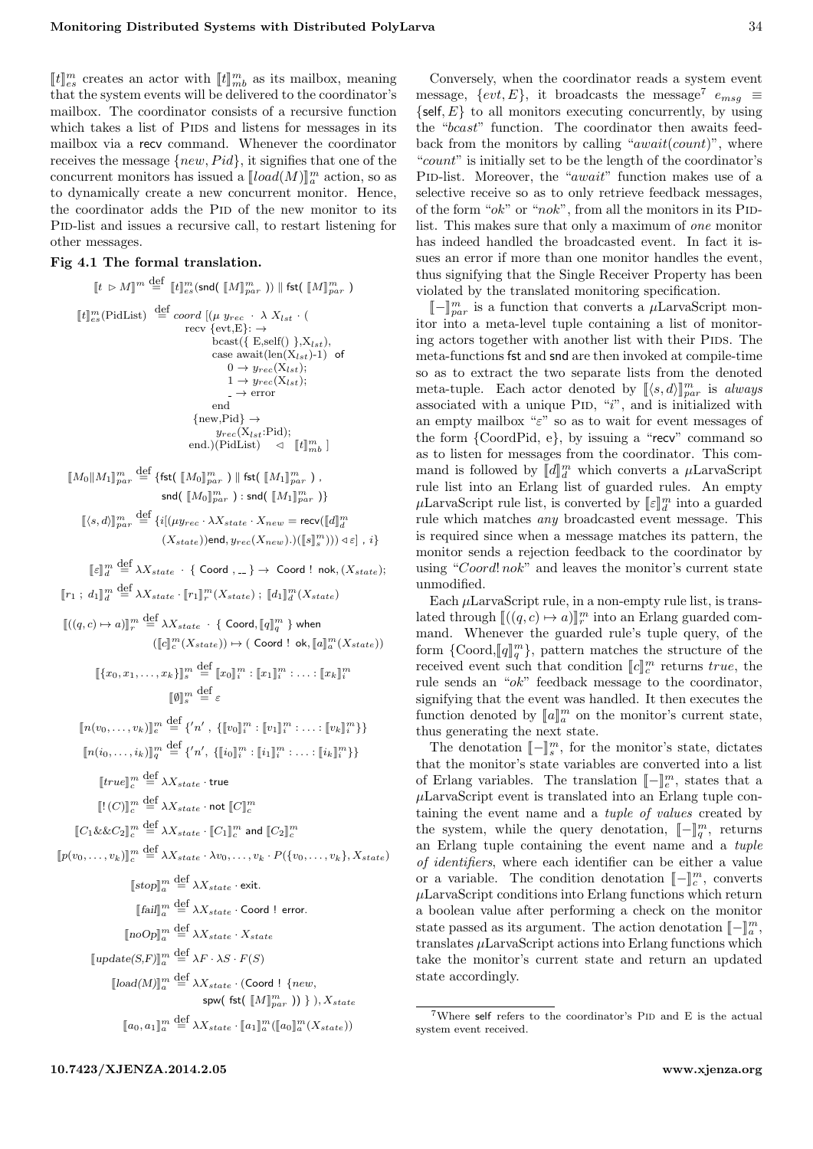$[[t]]_{es}^{m}$  creates an actor with  $[[t]]_{mb}^{m}$  as its mailbox, meaning<br>that the system system will be delivered to the coordinator's that the system events will be delivered to the coordinator's mailbox. The coordinator consists of a recursive function which takes a list of PIDS and listens for messages in its mailbox via a recv command. Whenever the coordinator receives the message  $\{new, Pid\}$ , it signifies that one of the concurrent monitors has issued a  $[[load(M)]_a^m$  action, so as to dynamically create a new concurrent monitor. Hence, the coordinator adds the PID of the new monitor to its P<sub>ID</sub>-list and issues a recursive call, to restart listening for other messages.

## Fig 4.1 The formal translation.

$$
\begin{array}{rcl}\n\llbracket t \, \triangleright \, M \rrbracket^m & \stackrel{\text{def}}{=} & \llbracket t \rrbracket^m_s(\mathsf{snd}(\llbracket M \rrbracket^m_{par})) \parallel \mathsf{fst}(\llbracket M \rrbracket^m_{par}) \\
\llbracket t \rrbracket^m_{es}(\mathsf{PidList}) & \stackrel{\text{def}}{=} \; \text{coord}[(\mu \, y_{rec} \cdot \lambda \, X_{lst} \cdot (\text{recv} \, \{ \text{evt}, \text{E} \}) \rightarrow \text{best}(\{ \, \text{E}, \text{self}(\text{)} \}, X_{lst}), \\
& \quad \text{case await}(\{ \text{len}(X_{lst}) \cdot 1) \text{ of } 0 \rightarrow y_{rec}(X_{lst}); \\
& \quad 1 \rightarrow y_{rec}(X_{lst}); \\
& \quad - \text{error} \\
& \quad \text{end} \\
\{\text{new}, \text{Pid}\} & \rightarrow \\
& \quad \text{pred}(\text{PidList}) \rightarrow \llbracket t \rrbracket^m_{mb} \end{array}
$$

 $\llbracket M_0 \rrbracket M_1 \rrbracket_{par}^m \stackrel{\text{def}}{=} \{\textsf{fst}(\llbracket M_0 \rrbracket_{par}^m) \parallel \textsf{fst}(\llbracket M_1 \rrbracket_{par}^m)$  ,  $\mathsf{snd}(\; [\![M_0]\!]_{par}^m$  ) :  $\mathsf{snd}(\; [\![M_1]\!]_{par}^m$  )}  $[\![\langle s, d \rangle]\!]_{par}^m \stackrel{\text{def}}{=} \{i[(\mu y_{rec} \cdot \lambda X_{state} \cdot X_{new} = \text{recv} (\llbracket d \rrbracket_d^m$ 

$$
(X_{state}))\text{end}, y_{rec}(X_{new}).)(\llbracket s \rrbracket_s^m))) \triangleleft \varepsilon \rrbracket \text{ , } i \}
$$

 $\llbracket \varepsilon \rrbracket^m_d \stackrel{\small \mathrm{def}}{=} \lambda X_{state} \; \cdot \; \{ \text{ Coord }, \text{\dots}\} \to \text{ Coord }! \; \text{ nok}, (X_{state});$ 

 $[\![r_1\,;\,d_1]\!]_d^m \stackrel{\text{def}}{=} \lambda X_{state} \cdot [\![r_1]\!]_r^m(X_{state}) \;;\; [\![d_1]\!]_d^m(X_{state})$ 

$$
\begin{aligned} [[((q,c)\mapsto a)]_{r}^{m} &\stackrel{\text{def}}{=} \lambda X_{state} \cdot \{ \text{ Coord}, [q]_{q}^{m} \} \text{ when } \\ &([\![c]\!]_{c}^{m}(X_{state})) \mapsto (\text{ Coord}\; ! \text{ ok}, [a]_{a}^{m}(X_{state})) \end{aligned}
$$

 $\llbracket \{x_0, x_1, \ldots, x_k\} \rrbracket_s^m \stackrel{\text{def}}{=} \llbracket x_0 \rrbracket_i^m : \llbracket x_1 \rrbracket_i^m : \ldots : \llbracket x_k \rrbracket_i^m$  $\llbracket \emptyset \rrbracket_s^m \stackrel{\text{def}}{=} \varepsilon$ 

$$
[\![n(v_0,\ldots,v_k)]\!]_e^m \stackrel{\text{def}}{=} \{n',\,[\![v_0]\!]_i^m : [\![v_1]\!]_i^m : \ldots : [\![v_k]\!]_i^m \}
$$

$$
[\![n(i_0,\ldots,i_k)]\!]_q^m \stackrel{\text{def}}{=} \{ 'n',\,\{ [\![i_0]\!]_i^m : [\![i_1]\!]_i^m : \ldots : [\![i_k]\!]_i^m \} \}
$$

 $[true]_c^m \stackrel{\text{def}}{=} \lambda X_{state} \cdot \text{true}$ 

$$
[[! (C)]]^m_c \stackrel{\text{def}}{=} \lambda X_{state} \cdot \text{not } [[C]]^m_c
$$

$$
[\![C_1 \& \& C_2]\!]^m_c \stackrel{\text{def}}{=} \lambda X_{state} \cdot [\![C_1]\!]^m_c \text{ and } [\![C_2]\!]^m_c
$$

 $[ p(v_0, \ldots, v_k) ]_c^m \stackrel{\text{def}}{=} \lambda X_{state} \cdot \lambda v_0, \ldots, v_k \cdot P({v_0, \ldots, v_k}, X_{state})$ 

$$
[\![stop]\!]_a^m \stackrel{\text{def}}{=} \lambda X_{state} \cdot \text{exit}.
$$

$$
[[\mathit{fail}]]_{a}^{m} \stackrel{\text{def}}{=} \lambda X_{state} \cdot \text{Coord}!
$$
 error.

 $[\![noOp]\!]_a^m \stackrel{\text{def}}{=} \lambda X_{state} \cdot X_{state}$ 

 $\llbracket \text{update}(S, F) \rrbracket_a^m \stackrel{\text{def}}{=} \lambda F \cdot \lambda S \cdot F(S)$ 

 $\llbracket load(M) \rrbracket_{a}^{m} \stackrel{\text{def}}{=} \lambda X_{state} \cdot (\text{Coord } ! \{new, \}$  ${\sf spw}(\ {\sf fst}(\ [\![M]\!]_{par}^m\ ))\ \}$  ),  $X_{state}$ 

 $[a_0, a_1]_a^m \stackrel{\text{def}}{=} \lambda X_{state} \cdot [a_1]_a^m ([a_0]_a^m(X_{state}))$ 

Conversely, when the coordinator reads a system event message,  $\{evt, E\}$ , it broadcasts the message<sup>[7](#page-0-0)</sup>  $e_{msg} \equiv$  $\{self, E\}$  to all monitors executing concurrently, by using the "bcast" function. The coordinator then awaits feedback from the monitors by calling " $await(count)$ ", where "count" is initially set to be the length of the coordinator's PID-list. Moreover, the "await" function makes use of a selective receive so as to only retrieve feedback messages, of the form " $ok$ " or " $nok$ ", from all the monitors in its PIDlist. This makes sure that only a maximum of one monitor has indeed handled the broadcasted event. In fact it issues an error if more than one monitor handles the event, thus signifying that the Single Receiver Property has been violated by the translated monitoring specification.

 $\llbracket - \rrbracket_{\text{par}}^m$  is a function that converts a μLarvaScript mon-<br>particular particular positions a list of monitor itor into a meta-level tuple containing a list of monitoring actors together with another list with their PIDS. The meta-functions fst and snd are then invoked at compile-time so as to extract the two separate lists from the denoted meta-tuple. Each actor denoted by  $(\{s, d\})_{par}^m$  is always associated with a unique PID, " $i$ ", and is initialized with an empty mailbox " $\varepsilon$ " so as to wait for event messages of the form {CoordPid, e}, by issuing a "recv" command so as to listen for messages from the coordinator. This command is followed by  $[[d]]_u^m$  which converts a  $\mu$ LarvaScript<br>rule list into an Exlang list of guarded rules. An empty rule list into an Erlang list of guarded rules. An empty  $\mu$ LarvaScript rule list, is converted by  $[\![\varepsilon]\!]_d^m$  into a guarded<br>rule which metabos any broadcasted synt message. This rule which matches any broadcasted event message. This is required since when a message matches its pattern, the monitor sends a rejection feedback to the coordinator by using "Coord! nok" and leaves the monitor's current state unmodified.

Each  $\mu$ LarvaScript rule, in a non-empty rule list, is translated through  $\llbracket ((q, c) \mapsto a \rrbracket_{r}^{m}$  into an Erlang guarded com-<br>mand Whanover the guarded rule's tuple guary of the mand. Whenever the guarded rule's tuple query, of the form  $\{Coord, [\![q]\!]_q^m\}$ , pattern matches the structure of the received over such that condition  $[\![q]\!]_m^m$  returns true, the received event such that condition  $\llbracket c \rrbracket_{m}^{m}$  returns true, the rule sends an "ok" feedback message to the coordinator, signifying that the event was handled. It then executes the function denoted by  $\llbracket a \rrbracket_{m}^{m}$  on the monitor's current state,<br>thus conorating the next state thus generating the next state.

The denotation  $\llbracket - \rrbracket_{s}^{m}$ , for the monitor's state, dictates<br>at the monitor's state variables are converted into a list that the monitor's state variables are converted into a list of Erlang variables. The translation  $\llbracket - \rrbracket_e^m$ , states that a<br>ultermological integer that an Erlang tuple con  $\mu$ LarvaScript event is translated into an Erlang tuple containing the event name and a tuple of values created by the system, while the query denotation,  $\llbracket - \rrbracket_{n}^{m}$ , returns an Erlang tuple containing the event name and a tuple of identifiers, where each identifier can be either a value or a variable. The condition denotation  $\llbracket - \rrbracket_{c}^{m}$ , converts  $\llbracket c \rrbracket_{c}^{m}$  are conditions into Frlang functions which return  $\mu$ LarvaScript conditions into Erlang functions which return a boolean value after performing a check on the monitor state passed as its argument. The action denotation  $[-\ ]_a^m$ ,<br>translates  $\mu$ , arra Serint actions into Erlang functions which translates  $\mu$ LarvaScript actions into Erlang functions which take the monitor's current state and return an updated state accordingly.

 $7$ Where self refers to the coordinator's PID and E is the actual system event received.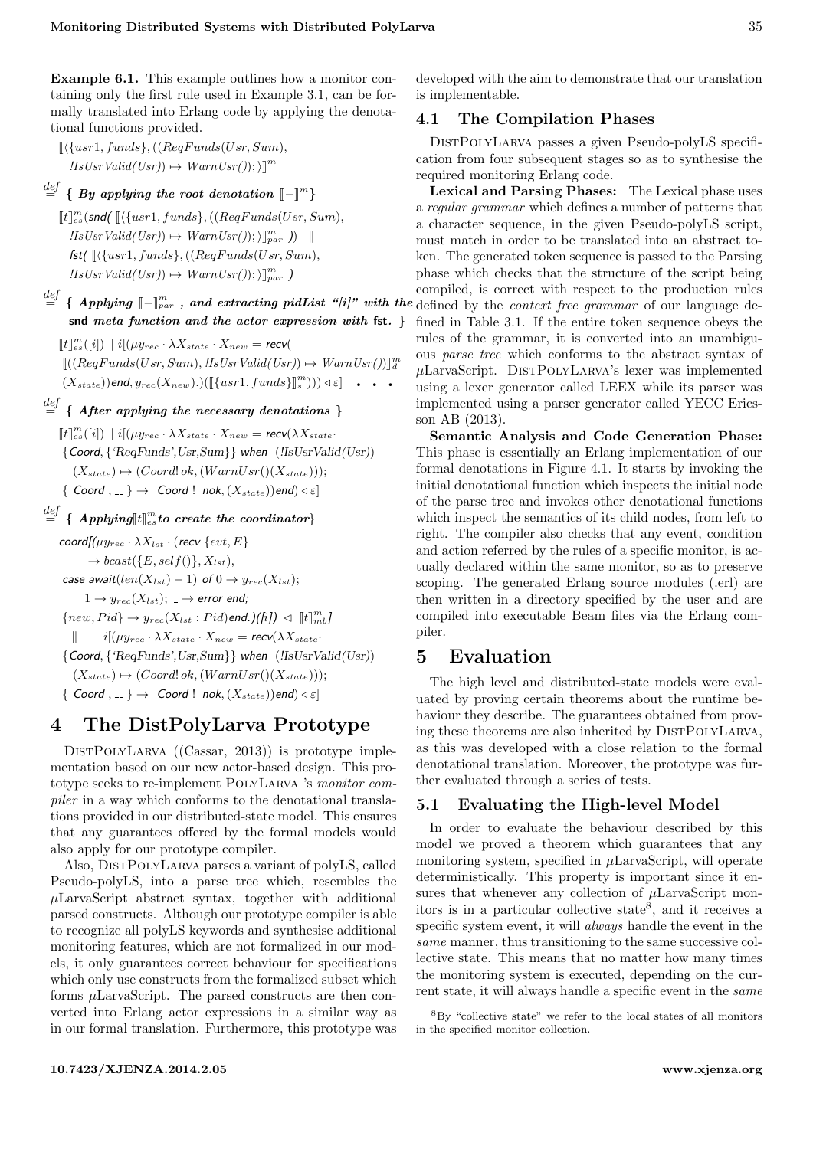Example 6.1. This example outlines how a monitor containing only the first rule used in Example 3.1, can be formally translated into Erlang code by applying the denotational functions provided.

- $\left[ \langle \{usr1, funds\}, ((RegFunds(Usr, Sum),$  $\text{II} s \text{U} s \text{v} \text{V} \text{al} \text{id} (\text{U} s \text{r})) \mapsto \text{W} \text{arm} \text{U} \text{sr}(\text{I});\text{in}^m$
- $\stackrel{def}{=} \{ \; By \;\: applying \; the \; root \; denotation \; \; \llbracket \rrbracket^m \}$ 
	- $[[t]]_{es}^m(\mathsf{snd}(\sqrt{\{usr1, funds\}},((RegFunds(Usr, Sum),$  $\text{IIsUsrValid}(Usr)) \mapsto \text{WarnUsr}());\prod_{par}^m j\quad \text{and}$ fst( $\left[ \left( \{usr1, funds\}, ((RegFunds(Usr, Sum),$  $llsUsrValid(Usr)) \mapsto WarmUsr());\parallel_{par}^m$
- snd meta function and the actor expression with fst. }

 $[[t]]_{es}^m([i]) \parallel i[(\mu y_{rec} \cdot \lambda X_{state} \cdot X_{new} = rec \nu)]$  $\llbracket ((RegFunds(Usr, Sum), lIsUsrValid(Usr)) \mapsto WarnUsr()) \rrbracket_{d}^{m}$  $(X_{state})$ )end,  $y_{rec}(X_{new})$ .)( $[[{usr1, funds}]_{s}^{m})$ )) $\triangleleft \varepsilon] \ \cdot \ \cdot \ \cdot$ 

# $\stackrel{def}{=} \{$  After applying the necessary denotations  $\}$

 $[[t]]_{es}^m([i]) \parallel i[(\mu y_{rec} \cdot \lambda X_{state} \cdot X_{new} = \textit{recv}(\lambda X_{state} \cdot X_{state} \cdot X_{new})]$ {Coord, {'ReqFunds',Usr,Sum}} when (!IsUsrValid(Usr))  $(X_{state}) \mapsto (Coord! ok, (WarnUsr((X_{state}))).$  $\{$  Coord  $, \ldots \}$   $\rightarrow$  Coord ! nok,  $(X_{state})$ )end)  $\triangleleft \epsilon$ ]

 $\stackrel{def}{=} \{ \textit{ Applying}[\![t]\!]_{es}^m \textit{to create the coordinator} \}$ 

 $\text{coord}[(\mu y_{rec} \cdot \lambda X_{lst} \cdot (\text{recv} \{evt, E\})]$  $\rightarrow$  bcast({E, self()},  $X_{lst}$ }, case await(len( $X_{lst}$ ) – 1) of  $0 \rightarrow y_{rec}(X_{lst})$ ;  $1 \rightarrow y_{rec}(X_{lst}); \rightarrow$  error end;  ${new, Pid} \rightarrow y_{rec}(X_{lst}: Pid)$ end.)([i])  $\lhd \llbracket t \rrbracket_{mb}^{m}$  $i[(\mu y_{rec} \cdot \lambda X_{state} \cdot X_{new} = \textit{recv}(\lambda X_{state})$ {Coord, {'ReqFunds',Usr,Sum}} when (!IsUsrValid(Usr))  $(X_{state}) \mapsto (Coord! ok, (Warning!sr((X_{state})))$ ;  $\{$  Coord,  $=$   $\}$   $\rightarrow$  Coord! nok,  $(X_{state})$ )end)  $\triangleleft \epsilon$ ]

# 4 The DistPolyLarva Prototype

DISTPOLYLARVA ((Cassar, [2013\)](#page-7-3)) is prototype implementation based on our new actor-based design. This prototype seeks to re-implement PolyLarva 's monitor compiler in a way which conforms to the denotational translations provided in our distributed-state model. This ensures that any guarantees offered by the formal models would also apply for our prototype compiler.

Also, DistPolyLarva parses a variant of polyLS, called Pseudo-polyLS, into a parse tree which, resembles the  $\mu$ LarvaScript abstract syntax, together with additional parsed constructs. Although our prototype compiler is able to recognize all polyLS keywords and synthesise additional monitoring features, which are not formalized in our models, it only guarantees correct behaviour for specifications which only use constructs from the formalized subset which forms  $\mu$ LarvaScript. The parsed constructs are then converted into Erlang actor expressions in a similar way as in our formal translation. Furthermore, this prototype was

developed with the aim to demonstrate that our translation is implementable.

## 4.1 The Compilation Phases

DistPolyLarva passes a given Pseudo-polyLS specification from four subsequent stages so as to synthesise the required monitoring Erlang code.

 $\frac{def}{=} \{ \text{ Applying } [-\mathbb{I}_{par}^m, \text{ and extracting pidList "[i]" with the defined by the context free grammar of our language de-$ Lexical and Parsing Phases: The Lexical phase uses a regular grammar which defines a number of patterns that a character sequence, in the given Pseudo-polyLS script, must match in order to be translated into an abstract token. The generated token sequence is passed to the Parsing phase which checks that the structure of the script being compiled, is correct with respect to the production rules fined in Table 3.1. If the entire token sequence obeys the rules of the grammar, it is converted into an unambiguous parse tree which conforms to the abstract syntax of  $\mu$ LarvaScript. DISTPOLYLARVA's lexer was implemented using a lexer generator called LEEX while its parser was implemented using a parser generator called YECC Ericsson AB [\(2013\)](#page-8-6).

> Semantic Analysis and Code Generation Phase: This phase is essentially an Erlang implementation of our formal denotations in Figure 4.1. It starts by invoking the initial denotational function which inspects the initial node of the parse tree and invokes other denotational functions which inspect the semantics of its child nodes, from left to right. The compiler also checks that any event, condition and action referred by the rules of a specific monitor, is actually declared within the same monitor, so as to preserve scoping. The generated Erlang source modules (.erl) are then written in a directory specified by the user and are compiled into executable Beam files via the Erlang compiler.

# 5 Evaluation

The high level and distributed-state models were evaluated by proving certain theorems about the runtime behaviour they describe. The guarantees obtained from proving these theorems are also inherited by DISTPOLYLARVA. as this was developed with a close relation to the formal denotational translation. Moreover, the prototype was further evaluated through a series of tests.

## 5.1 Evaluating the High-level Model

In order to evaluate the behaviour described by this model we proved a theorem which guarantees that any monitoring system, specified in  $\mu$ LarvaScript, will operate deterministically. This property is important since it ensures that whenever any collection of  $\mu$ LarvaScript monitors is in a particular collective state[8](#page-0-0) , and it receives a specific system event, it will always handle the event in the same manner, thus transitioning to the same successive collective state. This means that no matter how many times the monitoring system is executed, depending on the current state, it will always handle a specific event in the same

 $8By$  "collective state" we refer to the local states of all monitors in the specified monitor collection.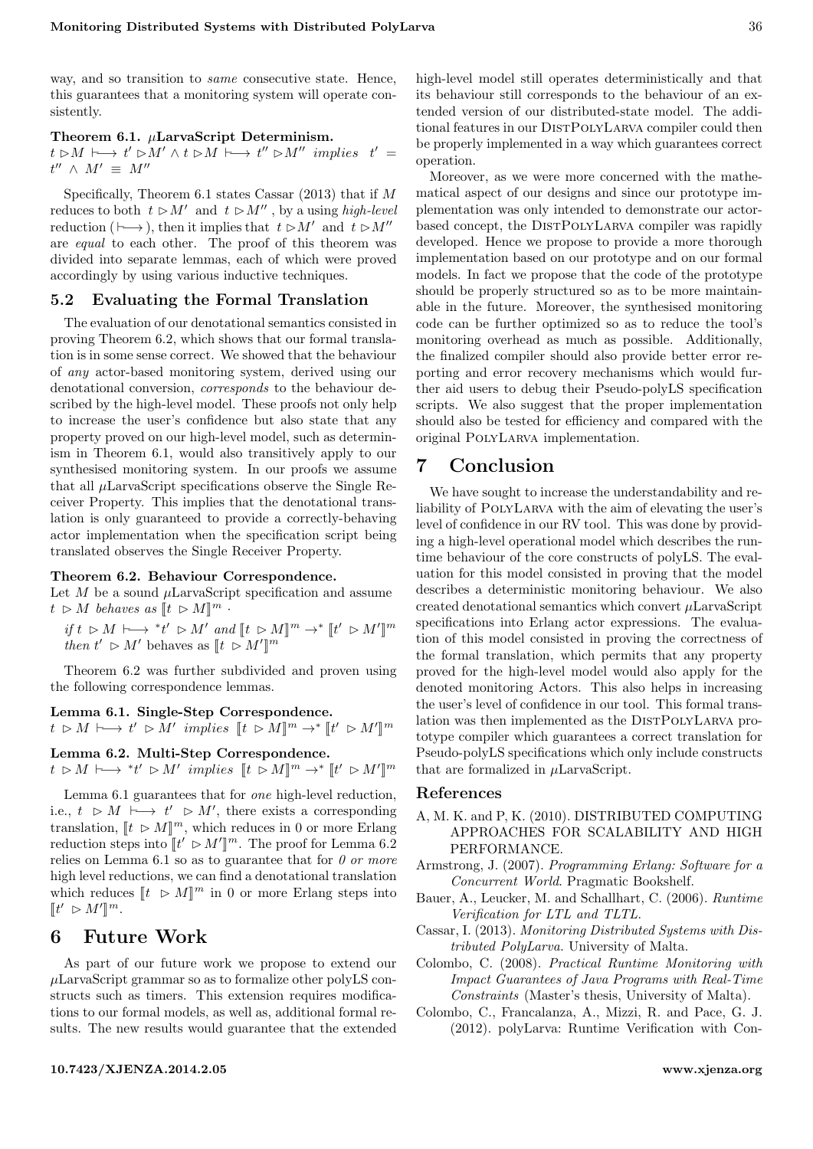way, and so transition to *same* consecutive state. Hence, this guarantees that a monitoring system will operate consistently.

#### Theorem 6.1.  $\mu$ LarvaScript Determinism.

 $t \rhd M \vdash \longrightarrow t' \rhd M' \wedge t \rhd M \vdash \longrightarrow t'' \rhd M'' \implies t' =$  $t''$   $\wedge$   $M' \equiv M''$ 

Specifically, Theorem 6.1 states Cassar [\(2013\)](#page-7-3) that if  $M$ reduces to both  $t \geq M'$  and  $t \geq M''$ , by a using high-level reduction ( $\longmapsto$ ), then it implies that  $t \triangleright M'$  and  $t \triangleright M''$ are equal to each other. The proof of this theorem was divided into separate lemmas, each of which were proved accordingly by using various inductive techniques.

### 5.2 Evaluating the Formal Translation

The evaluation of our denotational semantics consisted in proving Theorem 6.2, which shows that our formal translation is in some sense correct. We showed that the behaviour of any actor-based monitoring system, derived using our denotational conversion, corresponds to the behaviour described by the high-level model. These proofs not only help to increase the user's confidence but also state that any property proved on our high-level model, such as determinism in Theorem 6.1, would also transitively apply to our synthesised monitoring system. In our proofs we assume that all  $\mu$ LarvaScript specifications observe the Single Receiver Property. This implies that the denotational translation is only guaranteed to provide a correctly-behaving actor implementation when the specification script being translated observes the Single Receiver Property.

#### Theorem 6.2. Behaviour Correspondence.

Let  $M$  be a sound  $\mu$ LarvaScript specification and assume  $t \supset M$  behaves as  $[t \supset M]^m$ .

if  $t \triangleright M \vdash \longrightarrow *t' \triangleright M'$  and  $[[t \triangleright M]]^m \to^* [[t' \triangleright M']$ <br>then  $t' \triangleright M'$  behaves as  $[[t \triangleright M']^m$ m then  $t' \geq M'$  behaves as  $[[t \geq M']]$ m

Theorem 6.2 was further subdivided and proven using the following correspondence lemmas.

### Lemma 6.1. Single-Step Correspondence.

 $t \in M \mapsto t' \in M'$  implies  $[[t \in M]]^m \to^* [t' \in M']$ m

## Lemma 6.2. Multi-Step Correspondence.

 $t \in M \longmapsto *t' \in M'$  implies  $[[t \in M]]^m \to^* [t' \in M']$ m

Lemma 6.1 guarantees that for one high-level reduction, i.e.,  $t \geq M \longmapsto t' \geq M'$ , there exists a corresponding translation,  $[[t \triangleright M]]^m$ , which reduces in 0 or more Erlang<br>reduction steps into  $[[t' \triangleright M']^m$ . The proof for Lemma 6.2 reduction steps into  $[[t' \triangleright M']]^m$ . The proof for Lemma 6.2 relies on Lemma 6.1 so as to guarantee that for  $\theta$  or more high level reductions, we can find a denotational translation which reduces  $[t \triangleright M]^m$  in 0 or more Erlang steps into  $[t' \triangleright M']^m$ .

# 6 Future Work

As part of our future work we propose to extend our  $\mu$ LarvaScript grammar so as to formalize other polyLS constructs such as timers. This extension requires modifications to our formal models, as well as, additional formal results. The new results would guarantee that the extended high-level model still operates deterministically and that its behaviour still corresponds to the behaviour of an extended version of our distributed-state model. The additional features in our DISTPOLYLARVA compiler could then be properly implemented in a way which guarantees correct operation.

Moreover, as we were more concerned with the mathematical aspect of our designs and since our prototype implementation was only intended to demonstrate our actorbased concept, the DISTPOLYLARVA compiler was rapidly developed. Hence we propose to provide a more thorough implementation based on our prototype and on our formal models. In fact we propose that the code of the prototype should be properly structured so as to be more maintainable in the future. Moreover, the synthesised monitoring code can be further optimized so as to reduce the tool's monitoring overhead as much as possible. Additionally, the finalized compiler should also provide better error reporting and error recovery mechanisms which would further aid users to debug their Pseudo-polyLS specification scripts. We also suggest that the proper implementation should also be tested for efficiency and compared with the original PolyLarva implementation.

# 7 Conclusion

We have sought to increase the understandability and reliability of PolyLarva with the aim of elevating the user's level of confidence in our RV tool. This was done by providing a high-level operational model which describes the runtime behaviour of the core constructs of polyLS. The evaluation for this model consisted in proving that the model describes a deterministic monitoring behaviour. We also created denotational semantics which convert  $\mu$ LarvaScript specifications into Erlang actor expressions. The evaluation of this model consisted in proving the correctness of the formal translation, which permits that any property proved for the high-level model would also apply for the denoted monitoring Actors. This also helps in increasing the user's level of confidence in our tool. This formal translation was then implemented as the DISTPOLYLARVA prototype compiler which guarantees a correct translation for Pseudo-polyLS specifications which only include constructs that are formalized in  $\mu$ LarvaScript.

### References

- <span id="page-7-5"></span>A, M. K. and P, K. (2010). DISTRIBUTED COMPUTING APPROACHES FOR SCALABILITY AND HIGH PERFORMANCE.
- <span id="page-7-4"></span>Armstrong, J. (2007). Programming Erlang: Software for a Concurrent World. Pragmatic Bookshelf.
- <span id="page-7-0"></span>Bauer, A., Leucker, M. and Schallhart, C. (2006). Runtime Verification for LTL and TLTL.
- <span id="page-7-3"></span>Cassar, I. (2013). Monitoring Distributed Systems with Distributed PolyLarva. University of Malta.
- <span id="page-7-1"></span>Colombo, C. (2008). Practical Runtime Monitoring with Impact Guarantees of Java Programs with Real-Time Constraints (Master's thesis, University of Malta).
- <span id="page-7-2"></span>Colombo, C., Francalanza, A., Mizzi, R. and Pace, G. J. (2012). polyLarva: Runtime Verification with Con-